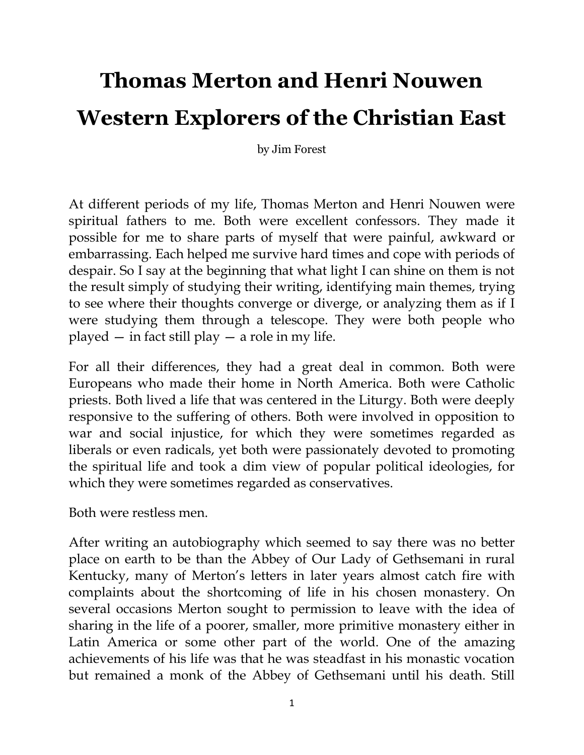## **Thomas Merton and Henri Nouwen Western Explorers of the Christian East**

by Jim Forest

At different periods of my life, Thomas Merton and Henri Nouwen were spiritual fathers to me. Both were excellent confessors. They made it possible for me to share parts of myself that were painful, awkward or embarrassing. Each helped me survive hard times and cope with periods of despair. So I say at the beginning that what light I can shine on them is not the result simply of studying their writing, identifying main themes, trying to see where their thoughts converge or diverge, or analyzing them as if I were studying them through a telescope. They were both people who played  $-$  in fact still play  $-$  a role in my life.

For all their differences, they had a great deal in common. Both were Europeans who made their home in North America. Both were Catholic priests. Both lived a life that was centered in the Liturgy. Both were deeply responsive to the suffering of others. Both were involved in opposition to war and social injustice, for which they were sometimes regarded as liberals or even radicals, yet both were passionately devoted to promoting the spiritual life and took a dim view of popular political ideologies, for which they were sometimes regarded as conservatives.

Both were restless men.

After writing an autobiography which seemed to say there was no better place on earth to be than the Abbey of Our Lady of Gethsemani in rural Kentucky, many of Merton's letters in later years almost catch fire with complaints about the shortcoming of life in his chosen monastery. On several occasions Merton sought to permission to leave with the idea of sharing in the life of a poorer, smaller, more primitive monastery either in Latin America or some other part of the world. One of the amazing achievements of his life was that he was steadfast in his monastic vocation but remained a monk of the Abbey of Gethsemani until his death. Still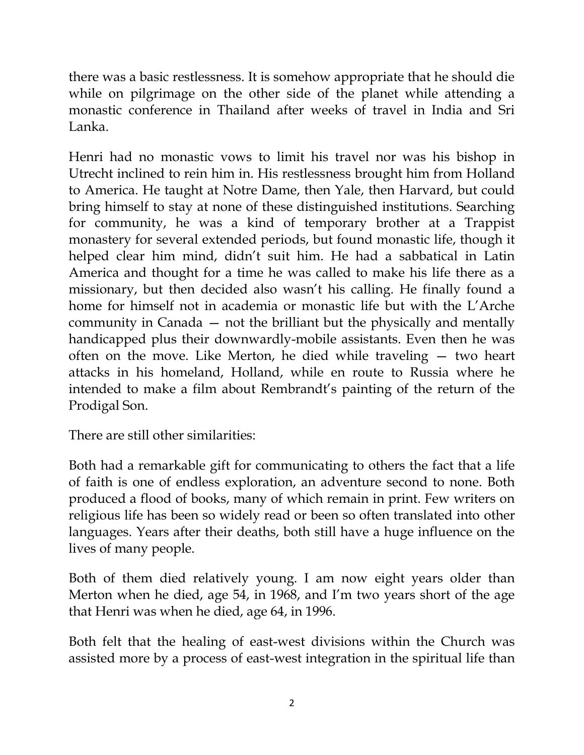there was a basic restlessness. It is somehow appropriate that he should die while on pilgrimage on the other side of the planet while attending a monastic conference in Thailand after weeks of travel in India and Sri Lanka.

Henri had no monastic vows to limit his travel nor was his bishop in Utrecht inclined to rein him in. His restlessness brought him from Holland to America. He taught at Notre Dame, then Yale, then Harvard, but could bring himself to stay at none of these distinguished institutions. Searching for community, he was a kind of temporary brother at a Trappist monastery for several extended periods, but found monastic life, though it helped clear him mind, didn"t suit him. He had a sabbatical in Latin America and thought for a time he was called to make his life there as a missionary, but then decided also wasn't his calling. He finally found a home for himself not in academia or monastic life but with the L"Arche community in Canada — not the brilliant but the physically and mentally handicapped plus their downwardly-mobile assistants. Even then he was often on the move. Like Merton, he died while traveling — two heart attacks in his homeland, Holland, while en route to Russia where he intended to make a film about Rembrandt's painting of the return of the Prodigal Son.

There are still other similarities:

Both had a remarkable gift for communicating to others the fact that a life of faith is one of endless exploration, an adventure second to none. Both produced a flood of books, many of which remain in print. Few writers on religious life has been so widely read or been so often translated into other languages. Years after their deaths, both still have a huge influence on the lives of many people.

Both of them died relatively young. I am now eight years older than Merton when he died, age 54, in 1968, and I"m two years short of the age that Henri was when he died, age 64, in 1996.

Both felt that the healing of east-west divisions within the Church was assisted more by a process of east-west integration in the spiritual life than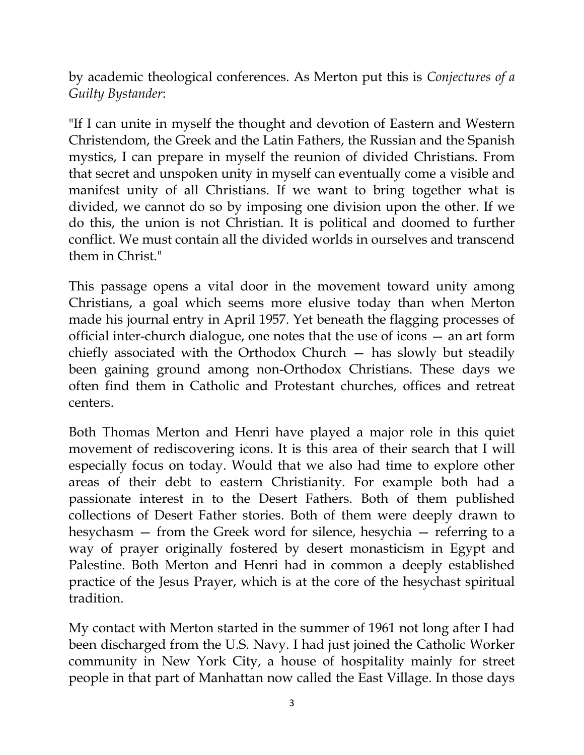by academic theological conferences. As Merton put this is *Conjectures of a Guilty Bystander*:

"If I can unite in myself the thought and devotion of Eastern and Western Christendom, the Greek and the Latin Fathers, the Russian and the Spanish mystics, I can prepare in myself the reunion of divided Christians. From that secret and unspoken unity in myself can eventually come a visible and manifest unity of all Christians. If we want to bring together what is divided, we cannot do so by imposing one division upon the other. If we do this, the union is not Christian. It is political and doomed to further conflict. We must contain all the divided worlds in ourselves and transcend them in Christ."

This passage opens a vital door in the movement toward unity among Christians, a goal which seems more elusive today than when Merton made his journal entry in April 1957. Yet beneath the flagging processes of official inter-church dialogue, one notes that the use of icons — an art form chiefly associated with the Orthodox Church — has slowly but steadily been gaining ground among non-Orthodox Christians. These days we often find them in Catholic and Protestant churches, offices and retreat centers.

Both Thomas Merton and Henri have played a major role in this quiet movement of rediscovering icons. It is this area of their search that I will especially focus on today. Would that we also had time to explore other areas of their debt to eastern Christianity. For example both had a passionate interest in to the Desert Fathers. Both of them published collections of Desert Father stories. Both of them were deeply drawn to hesychasm — from the Greek word for silence, hesychia — referring to a way of prayer originally fostered by desert monasticism in Egypt and Palestine. Both Merton and Henri had in common a deeply established practice of the Jesus Prayer, which is at the core of the hesychast spiritual tradition.

My contact with Merton started in the summer of 1961 not long after I had been discharged from the U.S. Navy. I had just joined the Catholic Worker community in New York City, a house of hospitality mainly for street people in that part of Manhattan now called the East Village. In those days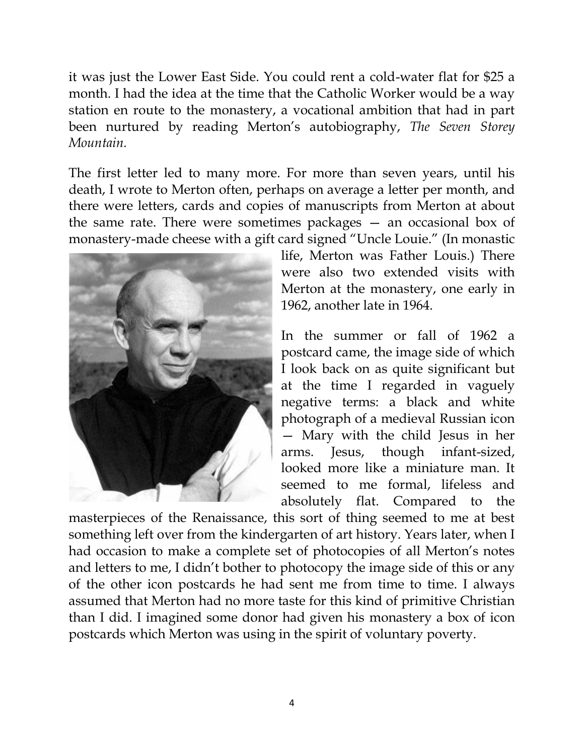it was just the Lower East Side. You could rent a cold-water flat for \$25 a month. I had the idea at the time that the Catholic Worker would be a way station en route to the monastery, a vocational ambition that had in part been nurtured by reading Merton"s autobiography, *The Seven Storey Mountain.*

The first letter led to many more. For more than seven years, until his death, I wrote to Merton often, perhaps on average a letter per month, and there were letters, cards and copies of manuscripts from Merton at about the same rate. There were sometimes packages — an occasional box of monastery-made cheese with a gift card signed "Uncle Louie." (In monastic



life, Merton was Father Louis.) There were also two extended visits with Merton at the monastery, one early in 1962, another late in 1964.

In the summer or fall of 1962 a postcard came, the image side of which I look back on as quite significant but at the time I regarded in vaguely negative terms: a black and white photograph of a medieval Russian icon — Mary with the child Jesus in her arms. Jesus, though infant-sized, looked more like a miniature man. It seemed to me formal, lifeless and absolutely flat. Compared to the

masterpieces of the Renaissance, this sort of thing seemed to me at best something left over from the kindergarten of art history. Years later, when I had occasion to make a complete set of photocopies of all Merton's notes and letters to me, I didn"t bother to photocopy the image side of this or any of the other icon postcards he had sent me from time to time. I always assumed that Merton had no more taste for this kind of primitive Christian than I did. I imagined some donor had given his monastery a box of icon postcards which Merton was using in the spirit of voluntary poverty.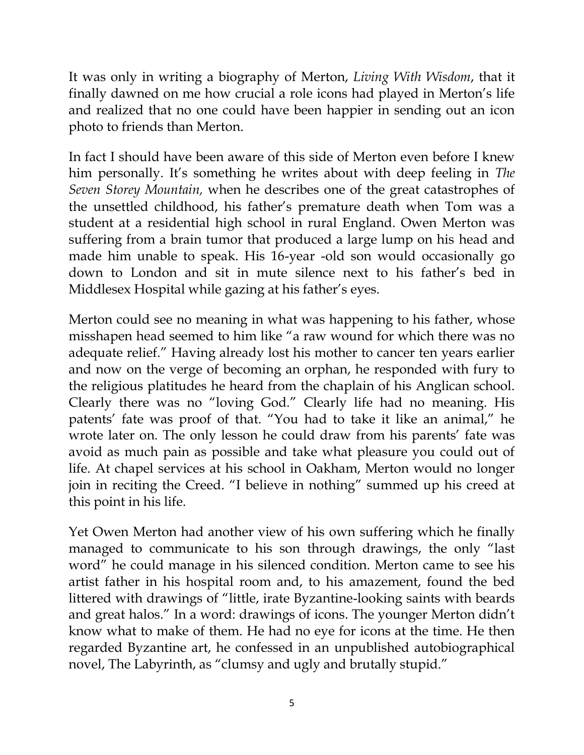It was only in writing a biography of Merton, *Living With Wisdom*, that it finally dawned on me how crucial a role icons had played in Merton"s life and realized that no one could have been happier in sending out an icon photo to friends than Merton.

In fact I should have been aware of this side of Merton even before I knew him personally. It's something he writes about with deep feeling in *The Seven Storey Mountain,* when he describes one of the great catastrophes of the unsettled childhood, his father"s premature death when Tom was a student at a residential high school in rural England. Owen Merton was suffering from a brain tumor that produced a large lump on his head and made him unable to speak. His 16-year -old son would occasionally go down to London and sit in mute silence next to his father"s bed in Middlesex Hospital while gazing at his father's eyes.

Merton could see no meaning in what was happening to his father, whose misshapen head seemed to him like "a raw wound for which there was no adequate relief." Having already lost his mother to cancer ten years earlier and now on the verge of becoming an orphan, he responded with fury to the religious platitudes he heard from the chaplain of his Anglican school. Clearly there was no "loving God." Clearly life had no meaning. His patents" fate was proof of that. "You had to take it like an animal," he wrote later on. The only lesson he could draw from his parents' fate was avoid as much pain as possible and take what pleasure you could out of life. At chapel services at his school in Oakham, Merton would no longer join in reciting the Creed. "I believe in nothing" summed up his creed at this point in his life.

Yet Owen Merton had another view of his own suffering which he finally managed to communicate to his son through drawings, the only "last word" he could manage in his silenced condition. Merton came to see his artist father in his hospital room and, to his amazement, found the bed littered with drawings of "little, irate Byzantine-looking saints with beards and great halos." In a word: drawings of icons. The younger Merton didn"t know what to make of them. He had no eye for icons at the time. He then regarded Byzantine art, he confessed in an unpublished autobiographical novel, The Labyrinth, as "clumsy and ugly and brutally stupid."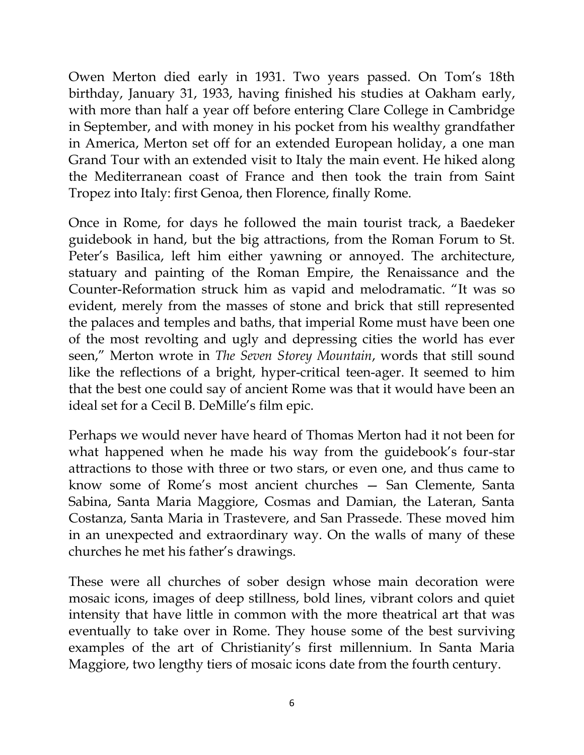Owen Merton died early in 1931. Two years passed. On Tom"s 18th birthday, January 31, 1933, having finished his studies at Oakham early, with more than half a year off before entering Clare College in Cambridge in September, and with money in his pocket from his wealthy grandfather in America, Merton set off for an extended European holiday, a one man Grand Tour with an extended visit to Italy the main event. He hiked along the Mediterranean coast of France and then took the train from Saint Tropez into Italy: first Genoa, then Florence, finally Rome.

Once in Rome, for days he followed the main tourist track, a Baedeker guidebook in hand, but the big attractions, from the Roman Forum to St. Peter's Basilica, left him either yawning or annoyed. The architecture, statuary and painting of the Roman Empire, the Renaissance and the Counter-Reformation struck him as vapid and melodramatic. "It was so evident, merely from the masses of stone and brick that still represented the palaces and temples and baths, that imperial Rome must have been one of the most revolting and ugly and depressing cities the world has ever seen," Merton wrote in *The Seven Storey Mountain*, words that still sound like the reflections of a bright, hyper-critical teen-ager. It seemed to him that the best one could say of ancient Rome was that it would have been an ideal set for a Cecil B. DeMille"s film epic.

Perhaps we would never have heard of Thomas Merton had it not been for what happened when he made his way from the guidebook's four-star attractions to those with three or two stars, or even one, and thus came to know some of Rome"s most ancient churches — San Clemente, Santa Sabina, Santa Maria Maggiore, Cosmas and Damian, the Lateran, Santa Costanza, Santa Maria in Trastevere, and San Prassede. These moved him in an unexpected and extraordinary way. On the walls of many of these churches he met his father"s drawings.

These were all churches of sober design whose main decoration were mosaic icons, images of deep stillness, bold lines, vibrant colors and quiet intensity that have little in common with the more theatrical art that was eventually to take over in Rome. They house some of the best surviving examples of the art of Christianity's first millennium. In Santa Maria Maggiore, two lengthy tiers of mosaic icons date from the fourth century.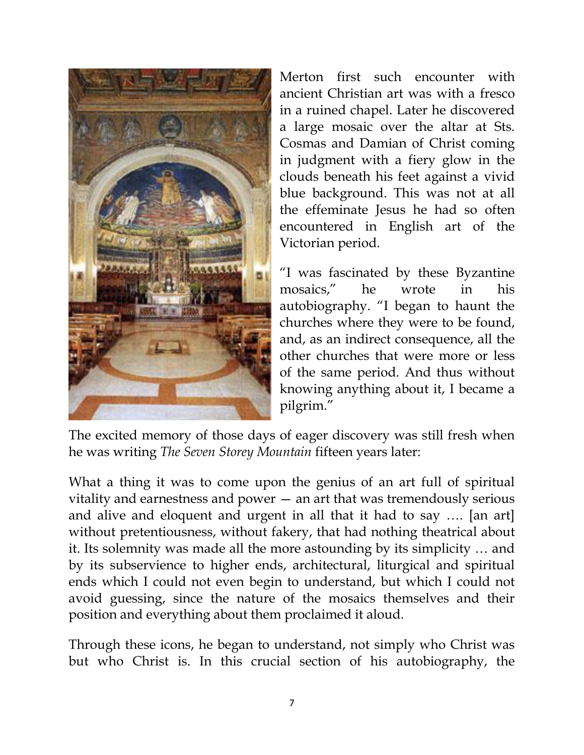

Merton first such encounter with ancient Christian art was with a fresco in a ruined chapel. Later he discovered a large mosaic over the altar at Sts. Cosmas and Damian of Christ coming in judgment with a fiery glow in the clouds beneath his feet against a vivid blue background. This was not at all the effeminate Jesus he had so often encountered in English art of the Victorian period.

"I was fascinated by these Byzantine mosaics," he wrote in his autobiography. "I began to haunt the churches where they were to be found, and, as an indirect consequence, all the other churches that were more or less of the same period. And thus without knowing anything about it, I became a pilgrim."

The excited memory of those days of eager discovery was still fresh when he was writing *The Seven Storey Mountain* fifteen years later:

What a thing it was to come upon the genius of an art full of spiritual vitality and earnestness and power — an art that was tremendously serious and alive and eloquent and urgent in all that it had to say …. [an art] without pretentiousness, without fakery, that had nothing theatrical about it. Its solemnity was made all the more astounding by its simplicity … and by its subservience to higher ends, architectural, liturgical and spiritual ends which I could not even begin to understand, but which I could not avoid guessing, since the nature of the mosaics themselves and their position and everything about them proclaimed it aloud.

Through these icons, he began to understand, not simply who Christ was but who Christ is. In this crucial section of his autobiography, the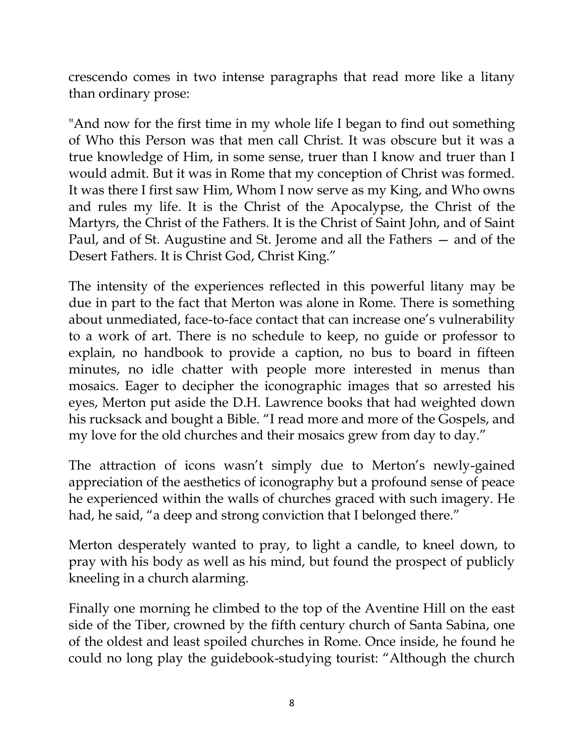crescendo comes in two intense paragraphs that read more like a litany than ordinary prose:

"And now for the first time in my whole life I began to find out something of Who this Person was that men call Christ. It was obscure but it was a true knowledge of Him, in some sense, truer than I know and truer than I would admit. But it was in Rome that my conception of Christ was formed. It was there I first saw Him, Whom I now serve as my King, and Who owns and rules my life. It is the Christ of the Apocalypse, the Christ of the Martyrs, the Christ of the Fathers. It is the Christ of Saint John, and of Saint Paul, and of St. Augustine and St. Jerome and all the Fathers — and of the Desert Fathers. It is Christ God, Christ King."

The intensity of the experiences reflected in this powerful litany may be due in part to the fact that Merton was alone in Rome. There is something about unmediated, face-to-face contact that can increase one"s vulnerability to a work of art. There is no schedule to keep, no guide or professor to explain, no handbook to provide a caption, no bus to board in fifteen minutes, no idle chatter with people more interested in menus than mosaics. Eager to decipher the iconographic images that so arrested his eyes, Merton put aside the D.H. Lawrence books that had weighted down his rucksack and bought a Bible. "I read more and more of the Gospels, and my love for the old churches and their mosaics grew from day to day."

The attraction of icons wasn't simply due to Merton's newly-gained appreciation of the aesthetics of iconography but a profound sense of peace he experienced within the walls of churches graced with such imagery. He had, he said, "a deep and strong conviction that I belonged there."

Merton desperately wanted to pray, to light a candle, to kneel down, to pray with his body as well as his mind, but found the prospect of publicly kneeling in a church alarming.

Finally one morning he climbed to the top of the Aventine Hill on the east side of the Tiber, crowned by the fifth century church of Santa Sabina, one of the oldest and least spoiled churches in Rome. Once inside, he found he could no long play the guidebook-studying tourist: "Although the church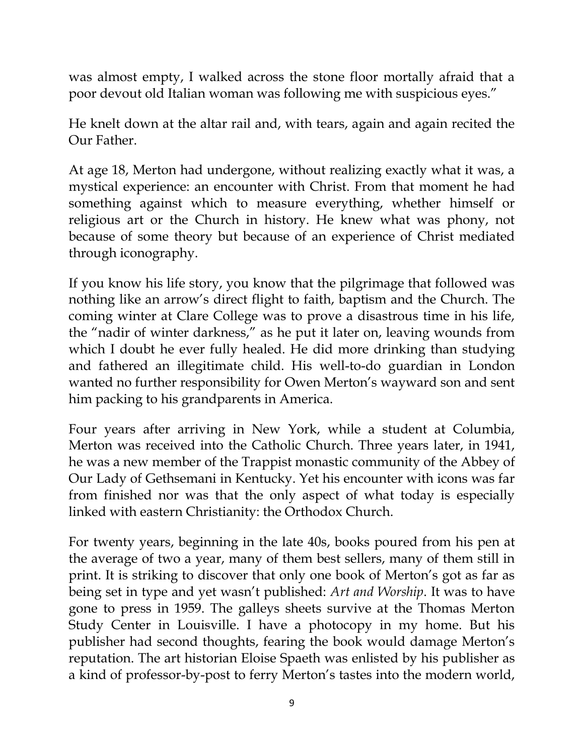was almost empty, I walked across the stone floor mortally afraid that a poor devout old Italian woman was following me with suspicious eyes."

He knelt down at the altar rail and, with tears, again and again recited the Our Father.

At age 18, Merton had undergone, without realizing exactly what it was, a mystical experience: an encounter with Christ. From that moment he had something against which to measure everything, whether himself or religious art or the Church in history. He knew what was phony, not because of some theory but because of an experience of Christ mediated through iconography.

If you know his life story, you know that the pilgrimage that followed was nothing like an arrow"s direct flight to faith, baptism and the Church. The coming winter at Clare College was to prove a disastrous time in his life, the "nadir of winter darkness," as he put it later on, leaving wounds from which I doubt he ever fully healed. He did more drinking than studying and fathered an illegitimate child. His well-to-do guardian in London wanted no further responsibility for Owen Merton's wayward son and sent him packing to his grandparents in America.

Four years after arriving in New York, while a student at Columbia, Merton was received into the Catholic Church. Three years later, in 1941, he was a new member of the Trappist monastic community of the Abbey of Our Lady of Gethsemani in Kentucky. Yet his encounter with icons was far from finished nor was that the only aspect of what today is especially linked with eastern Christianity: the Orthodox Church.

For twenty years, beginning in the late 40s, books poured from his pen at the average of two a year, many of them best sellers, many of them still in print. It is striking to discover that only one book of Merton's got as far as being set in type and yet wasn"t published: *Art and Worship*. It was to have gone to press in 1959. The galleys sheets survive at the Thomas Merton Study Center in Louisville. I have a photocopy in my home. But his publisher had second thoughts, fearing the book would damage Merton"s reputation. The art historian Eloise Spaeth was enlisted by his publisher as a kind of professor-by-post to ferry Merton's tastes into the modern world,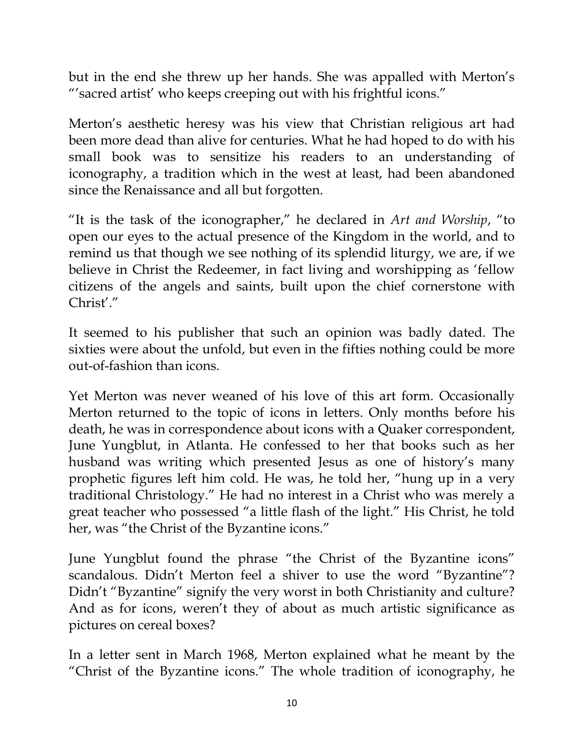but in the end she threw up her hands. She was appalled with Merton's ""sacred artist" who keeps creeping out with his frightful icons."

Merton"s aesthetic heresy was his view that Christian religious art had been more dead than alive for centuries. What he had hoped to do with his small book was to sensitize his readers to an understanding of iconography, a tradition which in the west at least, had been abandoned since the Renaissance and all but forgotten.

"It is the task of the iconographer," he declared in *Art and Worship*, "to open our eyes to the actual presence of the Kingdom in the world, and to remind us that though we see nothing of its splendid liturgy, we are, if we believe in Christ the Redeemer, in fact living and worshipping as "fellow citizens of the angels and saints, built upon the chief cornerstone with Christ'."

It seemed to his publisher that such an opinion was badly dated. The sixties were about the unfold, but even in the fifties nothing could be more out-of-fashion than icons.

Yet Merton was never weaned of his love of this art form. Occasionally Merton returned to the topic of icons in letters. Only months before his death, he was in correspondence about icons with a Quaker correspondent, June Yungblut, in Atlanta. He confessed to her that books such as her husband was writing which presented Jesus as one of history's many prophetic figures left him cold. He was, he told her, "hung up in a very traditional Christology." He had no interest in a Christ who was merely a great teacher who possessed "a little flash of the light." His Christ, he told her, was "the Christ of the Byzantine icons."

June Yungblut found the phrase "the Christ of the Byzantine icons" scandalous. Didn"t Merton feel a shiver to use the word "Byzantine"? Didn't "Byzantine" signify the very worst in both Christianity and culture? And as for icons, weren't they of about as much artistic significance as pictures on cereal boxes?

In a letter sent in March 1968, Merton explained what he meant by the "Christ of the Byzantine icons." The whole tradition of iconography, he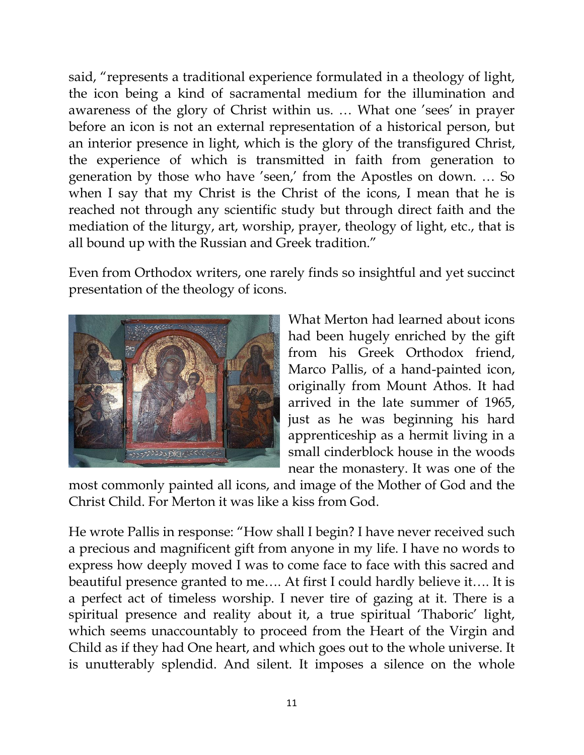said, "represents a traditional experience formulated in a theology of light, the icon being a kind of sacramental medium for the illumination and awareness of the glory of Christ within us. ... What one 'sees' in prayer before an icon is not an external representation of a historical person, but an interior presence in light, which is the glory of the transfigured Christ, the experience of which is transmitted in faith from generation to generation by those who have 'seen,' from the Apostles on down. ... So when I say that my Christ is the Christ of the icons, I mean that he is reached not through any scientific study but through direct faith and the mediation of the liturgy, art, worship, prayer, theology of light, etc., that is all bound up with the Russian and Greek tradition."

Even from Orthodox writers, one rarely finds so insightful and yet succinct presentation of the theology of icons.



What Merton had learned about icons had been hugely enriched by the gift from his Greek Orthodox friend, Marco Pallis, of a hand-painted icon, originally from Mount Athos. It had arrived in the late summer of 1965, just as he was beginning his hard apprenticeship as a hermit living in a small cinderblock house in the woods near the monastery. It was one of the

most commonly painted all icons, and image of the Mother of God and the Christ Child. For Merton it was like a kiss from God.

He wrote Pallis in response: "How shall I begin? I have never received such a precious and magnificent gift from anyone in my life. I have no words to express how deeply moved I was to come face to face with this sacred and beautiful presence granted to me…. At first I could hardly believe it…. It is a perfect act of timeless worship. I never tire of gazing at it. There is a spiritual presence and reality about it, a true spiritual 'Thaboric' light, which seems unaccountably to proceed from the Heart of the Virgin and Child as if they had One heart, and which goes out to the whole universe. It is unutterably splendid. And silent. It imposes a silence on the whole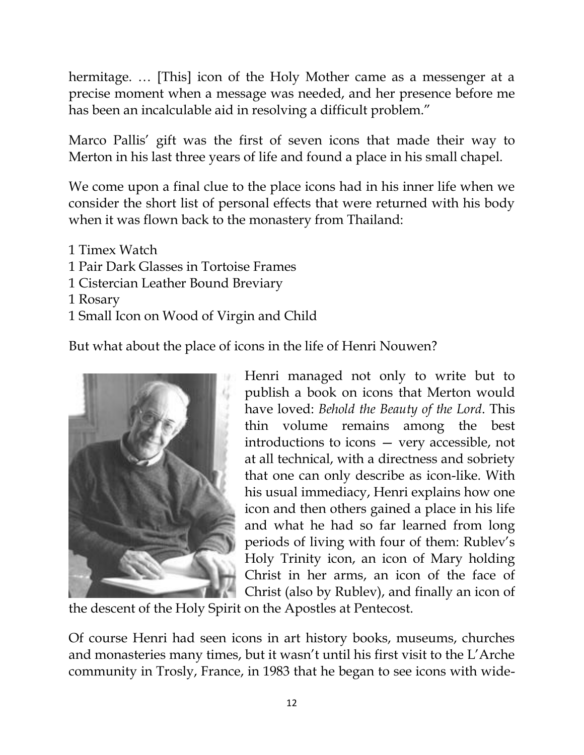hermitage. … [This] icon of the Holy Mother came as a messenger at a precise moment when a message was needed, and her presence before me has been an incalculable aid in resolving a difficult problem."

Marco Pallis' gift was the first of seven icons that made their way to Merton in his last three years of life and found a place in his small chapel.

We come upon a final clue to the place icons had in his inner life when we consider the short list of personal effects that were returned with his body when it was flown back to the monastery from Thailand:

- 1 Timex Watch
- 1 Pair Dark Glasses in Tortoise Frames
- 1 Cistercian Leather Bound Breviary
- 1 Rosary
- 1 Small Icon on Wood of Virgin and Child

But what about the place of icons in the life of Henri Nouwen?



Henri managed not only to write but to publish a book on icons that Merton would have loved: *Behold the Beauty of the Lord*. This thin volume remains among the best introductions to icons — very accessible, not at all technical, with a directness and sobriety that one can only describe as icon-like. With his usual immediacy, Henri explains how one icon and then others gained a place in his life and what he had so far learned from long periods of living with four of them: Rublev's Holy Trinity icon, an icon of Mary holding Christ in her arms, an icon of the face of Christ (also by Rublev), and finally an icon of

the descent of the Holy Spirit on the Apostles at Pentecost.

Of course Henri had seen icons in art history books, museums, churches and monasteries many times, but it wasn't until his first visit to the L'Arche community in Trosly, France, in 1983 that he began to see icons with wide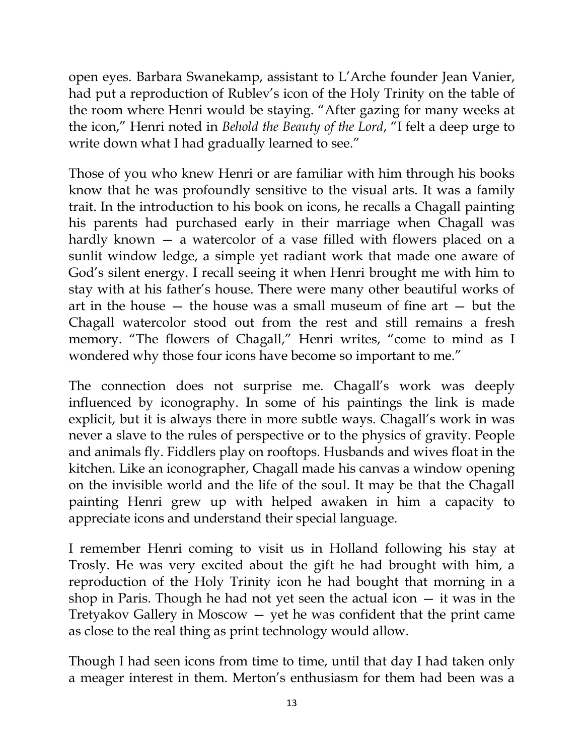open eyes. Barbara Swanekamp, assistant to L"Arche founder Jean Vanier, had put a reproduction of Rublev's icon of the Holy Trinity on the table of the room where Henri would be staying. "After gazing for many weeks at the icon," Henri noted in *Behold the Beauty of the Lord*, "I felt a deep urge to write down what I had gradually learned to see."

Those of you who knew Henri or are familiar with him through his books know that he was profoundly sensitive to the visual arts. It was a family trait. In the introduction to his book on icons, he recalls a Chagall painting his parents had purchased early in their marriage when Chagall was hardly known — a watercolor of a vase filled with flowers placed on a sunlit window ledge, a simple yet radiant work that made one aware of God"s silent energy. I recall seeing it when Henri brought me with him to stay with at his father"s house. There were many other beautiful works of art in the house — the house was a small museum of fine art — but the Chagall watercolor stood out from the rest and still remains a fresh memory. "The flowers of Chagall," Henri writes, "come to mind as I wondered why those four icons have become so important to me."

The connection does not surprise me. Chagall's work was deeply influenced by iconography. In some of his paintings the link is made explicit, but it is always there in more subtle ways. Chagall"s work in was never a slave to the rules of perspective or to the physics of gravity. People and animals fly. Fiddlers play on rooftops. Husbands and wives float in the kitchen. Like an iconographer, Chagall made his canvas a window opening on the invisible world and the life of the soul. It may be that the Chagall painting Henri grew up with helped awaken in him a capacity to appreciate icons and understand their special language.

I remember Henri coming to visit us in Holland following his stay at Trosly. He was very excited about the gift he had brought with him, a reproduction of the Holy Trinity icon he had bought that morning in a shop in Paris. Though he had not yet seen the actual icon — it was in the Tretyakov Gallery in Moscow — yet he was confident that the print came as close to the real thing as print technology would allow.

Though I had seen icons from time to time, until that day I had taken only a meager interest in them. Merton's enthusiasm for them had been was a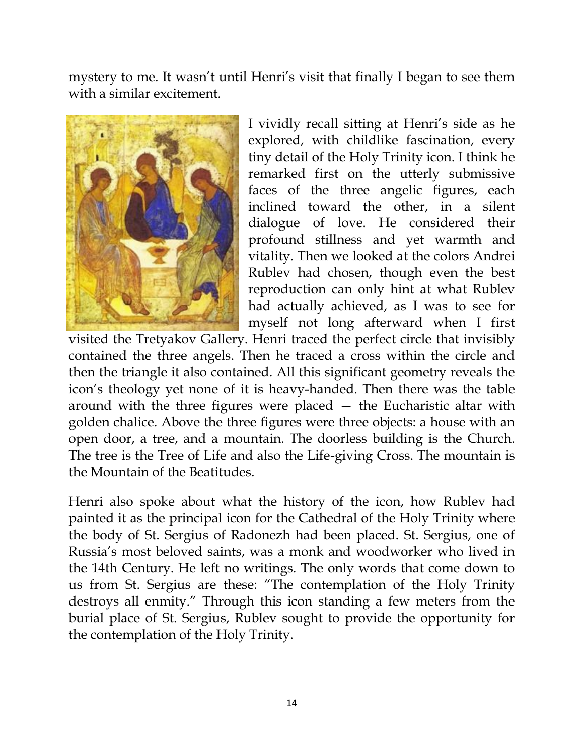mystery to me. It wasn't until Henri's visit that finally I began to see them with a similar excitement.



I vividly recall sitting at Henri"s side as he explored, with childlike fascination, every tiny detail of the Holy Trinity icon. I think he remarked first on the utterly submissive faces of the three angelic figures, each inclined toward the other, in a silent dialogue of love. He considered their profound stillness and yet warmth and vitality. Then we looked at the colors Andrei Rublev had chosen, though even the best reproduction can only hint at what Rublev had actually achieved, as I was to see for myself not long afterward when I first

visited the Tretyakov Gallery. Henri traced the perfect circle that invisibly contained the three angels. Then he traced a cross within the circle and then the triangle it also contained. All this significant geometry reveals the icon"s theology yet none of it is heavy-handed. Then there was the table around with the three figures were placed — the Eucharistic altar with golden chalice. Above the three figures were three objects: a house with an open door, a tree, and a mountain. The doorless building is the Church. The tree is the Tree of Life and also the Life-giving Cross. The mountain is the Mountain of the Beatitudes.

Henri also spoke about what the history of the icon, how Rublev had painted it as the principal icon for the Cathedral of the Holy Trinity where the body of St. Sergius of Radonezh had been placed. St. Sergius, one of Russia"s most beloved saints, was a monk and woodworker who lived in the 14th Century. He left no writings. The only words that come down to us from St. Sergius are these: "The contemplation of the Holy Trinity destroys all enmity." Through this icon standing a few meters from the burial place of St. Sergius, Rublev sought to provide the opportunity for the contemplation of the Holy Trinity.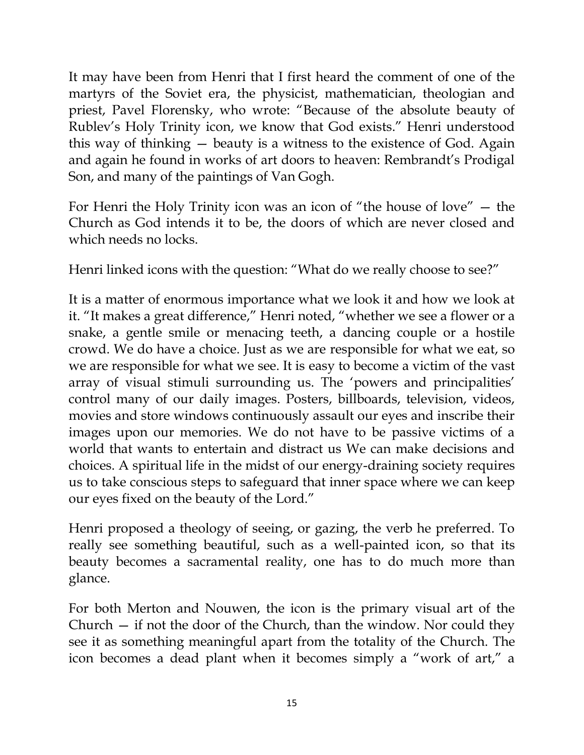It may have been from Henri that I first heard the comment of one of the martyrs of the Soviet era, the physicist, mathematician, theologian and priest, Pavel Florensky, who wrote: "Because of the absolute beauty of Rublev"s Holy Trinity icon, we know that God exists." Henri understood this way of thinking — beauty is a witness to the existence of God. Again and again he found in works of art doors to heaven: Rembrandt's Prodigal Son, and many of the paintings of Van Gogh.

For Henri the Holy Trinity icon was an icon of "the house of love" — the Church as God intends it to be, the doors of which are never closed and which needs no locks.

Henri linked icons with the question: "What do we really choose to see?"

It is a matter of enormous importance what we look it and how we look at it. "It makes a great difference," Henri noted, "whether we see a flower or a snake, a gentle smile or menacing teeth, a dancing couple or a hostile crowd. We do have a choice. Just as we are responsible for what we eat, so we are responsible for what we see. It is easy to become a victim of the vast array of visual stimuli surrounding us. The "powers and principalities" control many of our daily images. Posters, billboards, television, videos, movies and store windows continuously assault our eyes and inscribe their images upon our memories. We do not have to be passive victims of a world that wants to entertain and distract us We can make decisions and choices. A spiritual life in the midst of our energy-draining society requires us to take conscious steps to safeguard that inner space where we can keep our eyes fixed on the beauty of the Lord."

Henri proposed a theology of seeing, or gazing, the verb he preferred. To really see something beautiful, such as a well-painted icon, so that its beauty becomes a sacramental reality, one has to do much more than glance.

For both Merton and Nouwen, the icon is the primary visual art of the Church — if not the door of the Church, than the window. Nor could they see it as something meaningful apart from the totality of the Church. The icon becomes a dead plant when it becomes simply a "work of art," a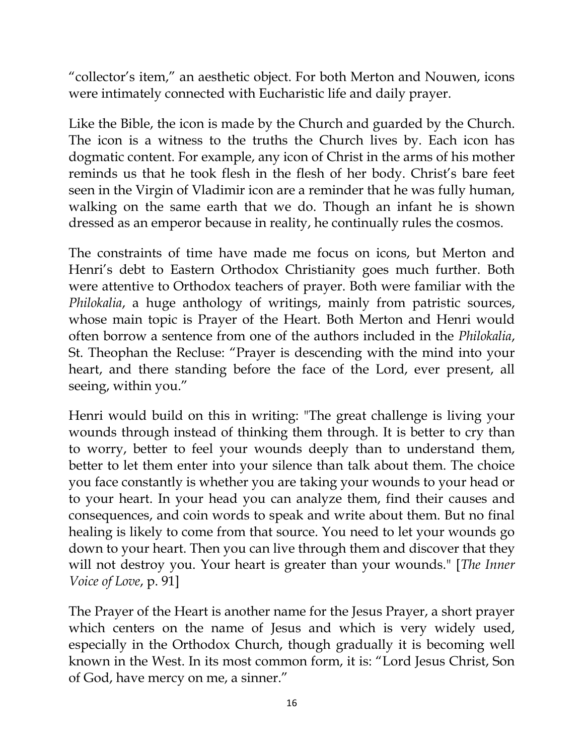"collector's item," an aesthetic object. For both Merton and Nouwen, icons were intimately connected with Eucharistic life and daily prayer.

Like the Bible, the icon is made by the Church and guarded by the Church. The icon is a witness to the truths the Church lives by. Each icon has dogmatic content. For example, any icon of Christ in the arms of his mother reminds us that he took flesh in the flesh of her body. Christ's bare feet seen in the Virgin of Vladimir icon are a reminder that he was fully human, walking on the same earth that we do. Though an infant he is shown dressed as an emperor because in reality, he continually rules the cosmos.

The constraints of time have made me focus on icons, but Merton and Henri's debt to Eastern Orthodox Christianity goes much further. Both were attentive to Orthodox teachers of prayer. Both were familiar with the *Philokalia*, a huge anthology of writings, mainly from patristic sources, whose main topic is Prayer of the Heart. Both Merton and Henri would often borrow a sentence from one of the authors included in the *Philokalia*, St. Theophan the Recluse: "Prayer is descending with the mind into your heart, and there standing before the face of the Lord, ever present, all seeing, within you."

Henri would build on this in writing: "The great challenge is living your wounds through instead of thinking them through. It is better to cry than to worry, better to feel your wounds deeply than to understand them, better to let them enter into your silence than talk about them. The choice you face constantly is whether you are taking your wounds to your head or to your heart. In your head you can analyze them, find their causes and consequences, and coin words to speak and write about them. But no final healing is likely to come from that source. You need to let your wounds go down to your heart. Then you can live through them and discover that they will not destroy you. Your heart is greater than your wounds." [*The Inner Voice of Love*, p. 91]

The Prayer of the Heart is another name for the Jesus Prayer, a short prayer which centers on the name of Jesus and which is very widely used, especially in the Orthodox Church, though gradually it is becoming well known in the West. In its most common form, it is: "Lord Jesus Christ, Son of God, have mercy on me, a sinner."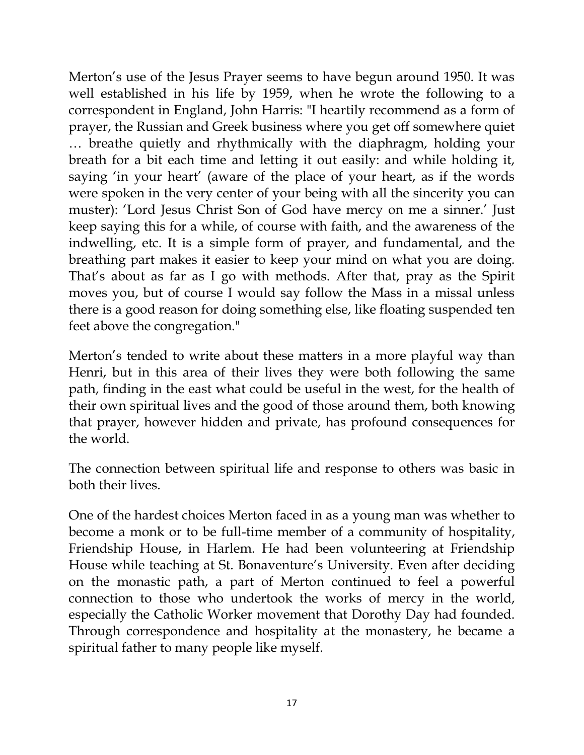Merton's use of the Jesus Prayer seems to have begun around 1950. It was well established in his life by 1959, when he wrote the following to a correspondent in England, John Harris: "I heartily recommend as a form of prayer, the Russian and Greek business where you get off somewhere quiet … breathe quietly and rhythmically with the diaphragm, holding your breath for a bit each time and letting it out easily: and while holding it, saying 'in your heart' (aware of the place of your heart, as if the words were spoken in the very center of your being with all the sincerity you can muster): 'Lord Jesus Christ Son of God have mercy on me a sinner.' Just keep saying this for a while, of course with faith, and the awareness of the indwelling, etc. It is a simple form of prayer, and fundamental, and the breathing part makes it easier to keep your mind on what you are doing. That's about as far as I go with methods. After that, pray as the Spirit moves you, but of course I would say follow the Mass in a missal unless there is a good reason for doing something else, like floating suspended ten feet above the congregation."

Merton's tended to write about these matters in a more playful way than Henri, but in this area of their lives they were both following the same path, finding in the east what could be useful in the west, for the health of their own spiritual lives and the good of those around them, both knowing that prayer, however hidden and private, has profound consequences for the world.

The connection between spiritual life and response to others was basic in both their lives.

One of the hardest choices Merton faced in as a young man was whether to become a monk or to be full-time member of a community of hospitality, Friendship House, in Harlem. He had been volunteering at Friendship House while teaching at St. Bonaventure's University. Even after deciding on the monastic path, a part of Merton continued to feel a powerful connection to those who undertook the works of mercy in the world, especially the Catholic Worker movement that Dorothy Day had founded. Through correspondence and hospitality at the monastery, he became a spiritual father to many people like myself.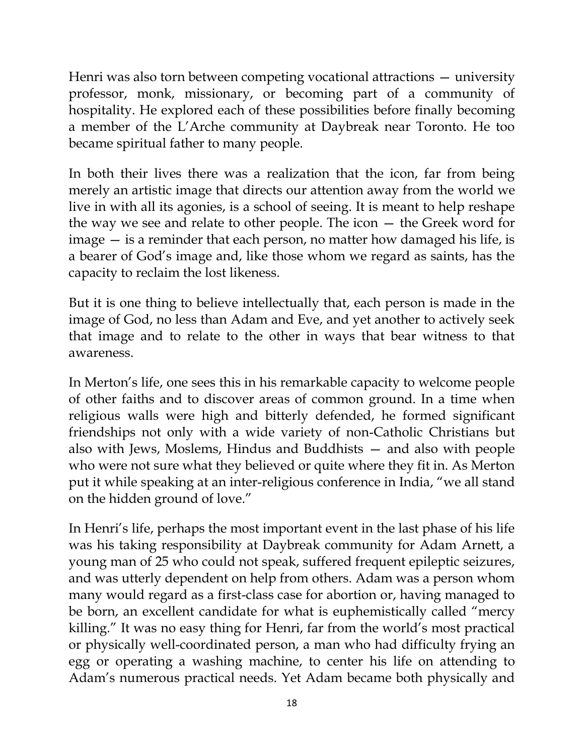Henri was also torn between competing vocational attractions — university professor, monk, missionary, or becoming part of a community of hospitality. He explored each of these possibilities before finally becoming a member of the L"Arche community at Daybreak near Toronto. He too became spiritual father to many people.

In both their lives there was a realization that the icon, far from being merely an artistic image that directs our attention away from the world we live in with all its agonies, is a school of seeing. It is meant to help reshape the way we see and relate to other people. The icon — the Greek word for image — is a reminder that each person, no matter how damaged his life, is a bearer of God"s image and, like those whom we regard as saints, has the capacity to reclaim the lost likeness.

But it is one thing to believe intellectually that, each person is made in the image of God, no less than Adam and Eve, and yet another to actively seek that image and to relate to the other in ways that bear witness to that awareness.

In Merton"s life, one sees this in his remarkable capacity to welcome people of other faiths and to discover areas of common ground. In a time when religious walls were high and bitterly defended, he formed significant friendships not only with a wide variety of non-Catholic Christians but also with Jews, Moslems, Hindus and Buddhists — and also with people who were not sure what they believed or quite where they fit in. As Merton put it while speaking at an inter-religious conference in India, "we all stand on the hidden ground of love."

In Henri's life, perhaps the most important event in the last phase of his life was his taking responsibility at Daybreak community for Adam Arnett, a young man of 25 who could not speak, suffered frequent epileptic seizures, and was utterly dependent on help from others. Adam was a person whom many would regard as a first-class case for abortion or, having managed to be born, an excellent candidate for what is euphemistically called "mercy killing." It was no easy thing for Henri, far from the world"s most practical or physically well-coordinated person, a man who had difficulty frying an egg or operating a washing machine, to center his life on attending to Adam"s numerous practical needs. Yet Adam became both physically and